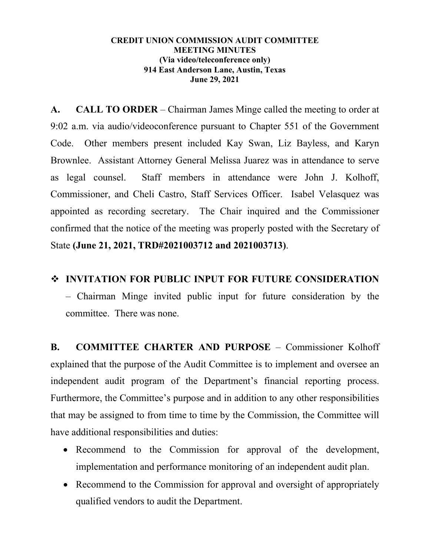## **CREDIT UNION COMMISSION AUDIT COMMITTEE MEETING MINUTES (Via video/teleconference only) 914 East Anderson Lane, Austin, Texas June 29, 2021**

**A. CALL TO ORDER** – Chairman James Minge called the meeting to order at 9:02 a.m. via audio/videoconference pursuant to Chapter 551 of the Government Code. Other members present included Kay Swan, Liz Bayless, and Karyn Brownlee. Assistant Attorney General Melissa Juarez was in attendance to serve as legal counsel. Staff members in attendance were John J. Kolhoff, Commissioner, and Cheli Castro, Staff Services Officer. Isabel Velasquez was appointed as recording secretary. The Chair inquired and the Commissioner confirmed that the notice of the meeting was properly posted with the Secretary of State **(June 21, 2021, TRD#2021003712 and 2021003713)**.

## **INVITATION FOR PUBLIC INPUT FOR FUTURE CONSIDERATION**

– Chairman Minge invited public input for future consideration by the committee. There was none.

**B. COMMITTEE CHARTER AND PURPOSE** – Commissioner Kolhoff explained that the purpose of the Audit Committee is to implement and oversee an independent audit program of the Department's financial reporting process. Furthermore, the Committee's purpose and in addition to any other responsibilities that may be assigned to from time to time by the Commission, the Committee will have additional responsibilities and duties:

- Recommend to the Commission for approval of the development, implementation and performance monitoring of an independent audit plan.
- Recommend to the Commission for approval and oversight of appropriately qualified vendors to audit the Department.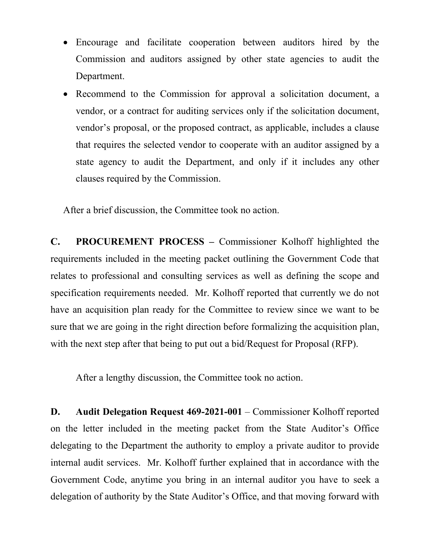- Encourage and facilitate cooperation between auditors hired by the Commission and auditors assigned by other state agencies to audit the Department.
- Recommend to the Commission for approval a solicitation document, a vendor, or a contract for auditing services only if the solicitation document, vendor's proposal, or the proposed contract, as applicable, includes a clause that requires the selected vendor to cooperate with an auditor assigned by a state agency to audit the Department, and only if it includes any other clauses required by the Commission.

After a brief discussion, the Committee took no action.

**C. PROCUREMENT PROCESS –** Commissioner Kolhoff highlighted the requirements included in the meeting packet outlining the Government Code that relates to professional and consulting services as well as defining the scope and specification requirements needed. Mr. Kolhoff reported that currently we do not have an acquisition plan ready for the Committee to review since we want to be sure that we are going in the right direction before formalizing the acquisition plan, with the next step after that being to put out a bid/Request for Proposal (RFP).

After a lengthy discussion, the Committee took no action.

**D. Audit Delegation Request 469-2021-001** – Commissioner Kolhoff reported on the letter included in the meeting packet from the State Auditor's Office delegating to the Department the authority to employ a private auditor to provide internal audit services. Mr. Kolhoff further explained that in accordance with the Government Code, anytime you bring in an internal auditor you have to seek a delegation of authority by the State Auditor's Office, and that moving forward with